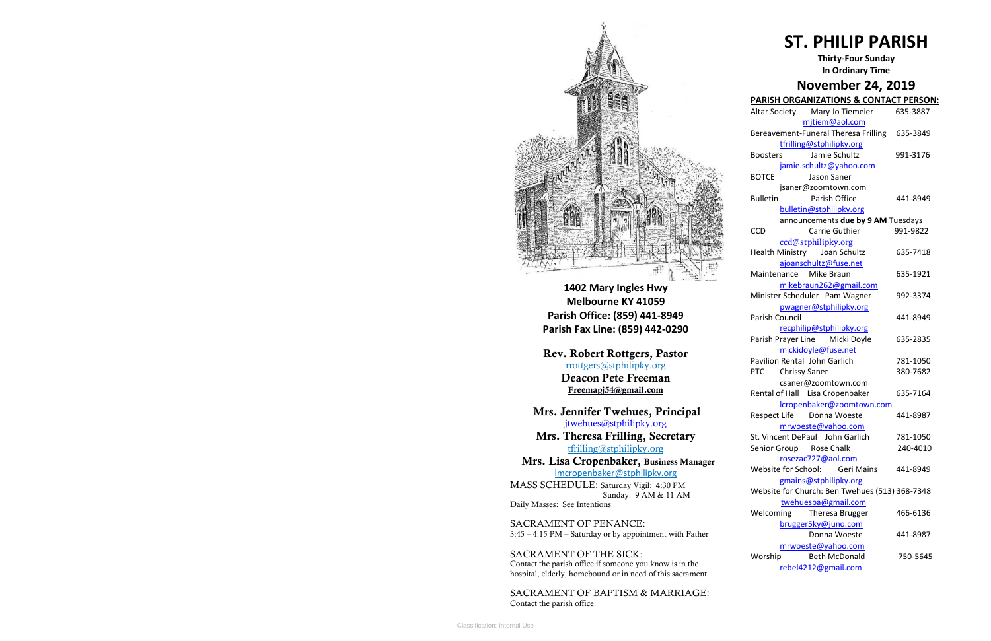

**1402 Mary Ingles Hwy Melbourne KY 41059 Parish Office: (859) 441-8949 Parish Fax Line: (859) 442-0290**

**Mrs. Theresa Frilling, Secretary**  [tfrilling@stphilipky.org](mailto:tfrilling@stphilipky.org)

**Rev. Robert Rottgers, Pastor**  [rrottgers@stphilipky.org](mailto:rrottgers@stphilipky.org) **Deacon Pete Freeman Freemapj54@gmail.com**

**Mrs. Jennifer Twehues, Principal** [jtwehues@stphilipky.org](mailto:jtwehues@stphilipky.org)

 **Mrs. Lisa Cropenbaker, Business Manager**  lmcropenbaker@stphilipky.org

MASS SCHEDULE: Saturday Vigil: 4:30 PM Sunday: 9 AM & 11 AM Daily Masses: See Intentions

SACRAMENT OF PENANCE: 3:45 – 4:15 PM – Saturday or by appointment with Father

SACRAMENT OF THE SICK: Contact the parish office if someone you know is in the hospital, elderly, homebound or in need of this sacrament.

SACRAMENT OF BAPTISM & MARRIAGE: Contact the parish office.

# **ST. PHILIP PARISH**

**Thirty-Four Sunday In Ordinary Time** 

# **November 24, 2019**

# **PARISH ORGANIZATIONS & CONTACT PERSON:**

| ,,,,,                   | ,, ,, , ,                                      |          |
|-------------------------|------------------------------------------------|----------|
|                         | Altar Society Mary Jo Tiemeier                 | 635-3887 |
|                         | mjtiem@aol.com                                 |          |
|                         | Bereavement-Funeral Theresa Frilling 635-3849  |          |
|                         | tfrilling@stphilipky.org                       |          |
| <b>Boosters</b>         | Jamie Schultz                                  | 991-3176 |
|                         | jamie.schultz@yahoo.com                        |          |
| BOTCE                   | Jason Saner                                    |          |
|                         | jsaner@zoomtown.com                            |          |
| <b>Bulletin</b>         | Parish Office                                  | 441-8949 |
|                         | bulletin@stphilipky.org                        |          |
|                         | announcements due by 9 AM Tuesdays             |          |
| CCD                     | Carrie Guthier                                 | 991-9822 |
|                         | ccd@stphilipky.org                             |          |
|                         | Health Ministry Joan Schultz                   | 635-7418 |
|                         | ajoanschultz@fuse.net                          |          |
| Maintenance Mike Braun  |                                                | 635-1921 |
|                         |                                                |          |
|                         | mikebraun262@gmail.com                         |          |
|                         | Minister Scheduler Pam Wagner                  | 992-3374 |
|                         | pwagner@stphilipky.org                         |          |
| <b>Parish Council</b>   |                                                | 441-8949 |
|                         | recphilip@stphilipky.org                       |          |
|                         | Parish Prayer Line Micki Doyle                 | 635-2835 |
|                         | mickidoyle@fuse.net                            |          |
|                         | <b>Pavilion Rental John Garlich</b>            | 781-1050 |
| PTC Chrissy Saner       |                                                | 380-7682 |
|                         | csaner@zoomtown.com                            |          |
|                         | Rental of Hall Lisa Cropenbaker                | 635-7164 |
|                         | lcropenbaker@zoomtown.com                      |          |
|                         | Respect Life Donna Woeste                      | 441-8987 |
|                         | mrwoeste@yahoo.com                             |          |
|                         | St. Vincent DePaul John Garlich                | 781-1050 |
| Senior Group Rose Chalk |                                                | 240-4010 |
|                         | rosezac727@aol.com                             |          |
| Website for School:     | <b>Geri Mains</b>                              | 441-8949 |
|                         | gmains@stphilipky.org                          |          |
|                         | Website for Church: Ben Twehues (513) 368-7348 |          |
|                         | twehuesba@gmail.com                            |          |
| Welcoming               | Theresa Brugger                                | 466-6136 |
|                         | brugger5ky@juno.com                            |          |
|                         | Donna Woeste                                   | 441-8987 |
|                         | mrwoeste@yahoo.com                             |          |
| Worship                 | <b>Beth McDonald</b>                           | 750-5645 |
|                         |                                                |          |
|                         | rebel4212@gmail.com                            |          |